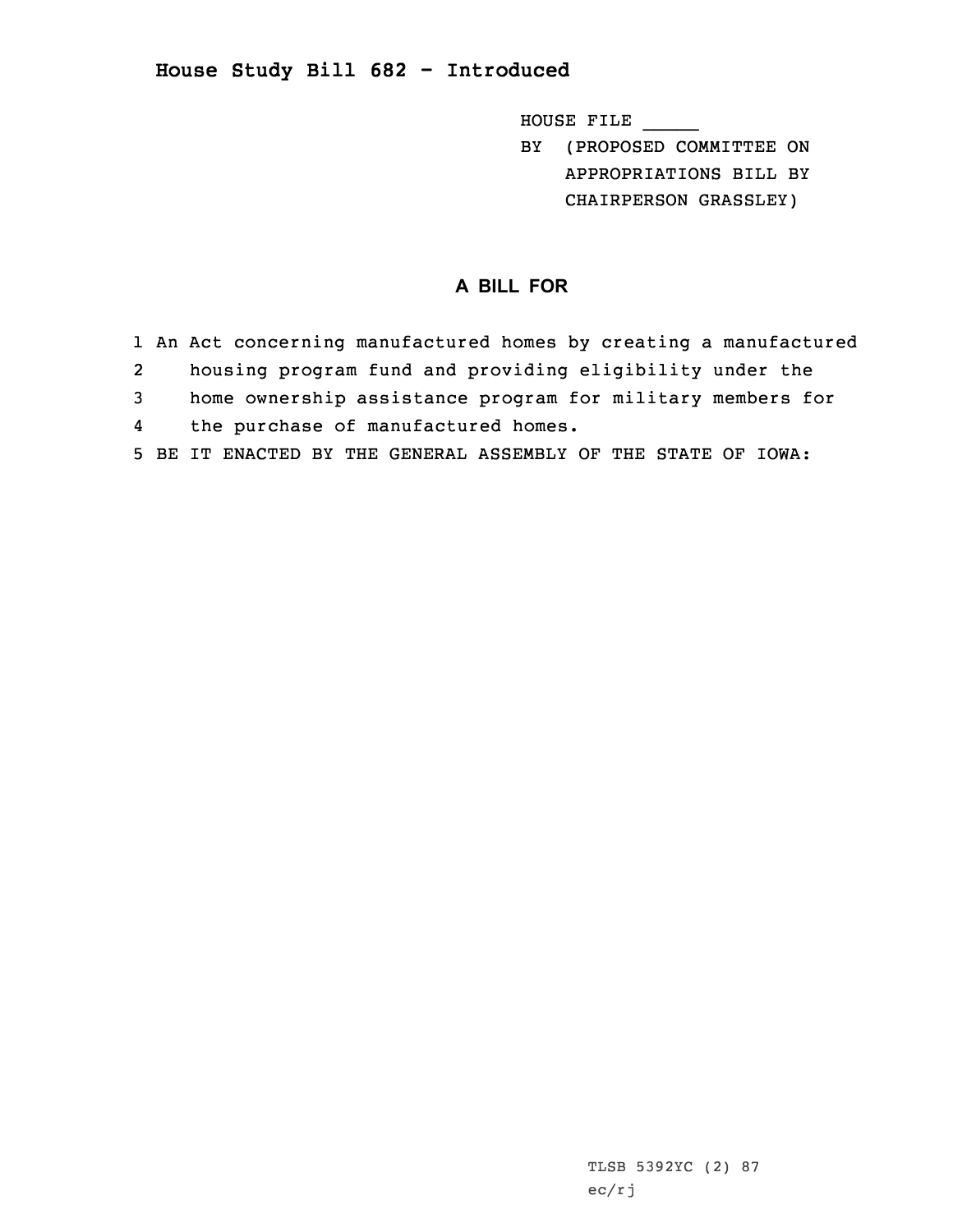## **House Study Bill 682 - Introduced**

HOUSE FILE \_\_\_\_\_

BY (PROPOSED COMMITTEE ON APPROPRIATIONS BILL BY CHAIRPERSON GRASSLEY)

## **A BILL FOR**

- 1 An Act concerning manufactured homes by creating <sup>a</sup> manufactured 2 housing program fund and providing eligibility under the 3 home ownership assistance program for military members for 4the purchase of manufactured homes.
- 5 BE IT ENACTED BY THE GENERAL ASSEMBLY OF THE STATE OF IOWA: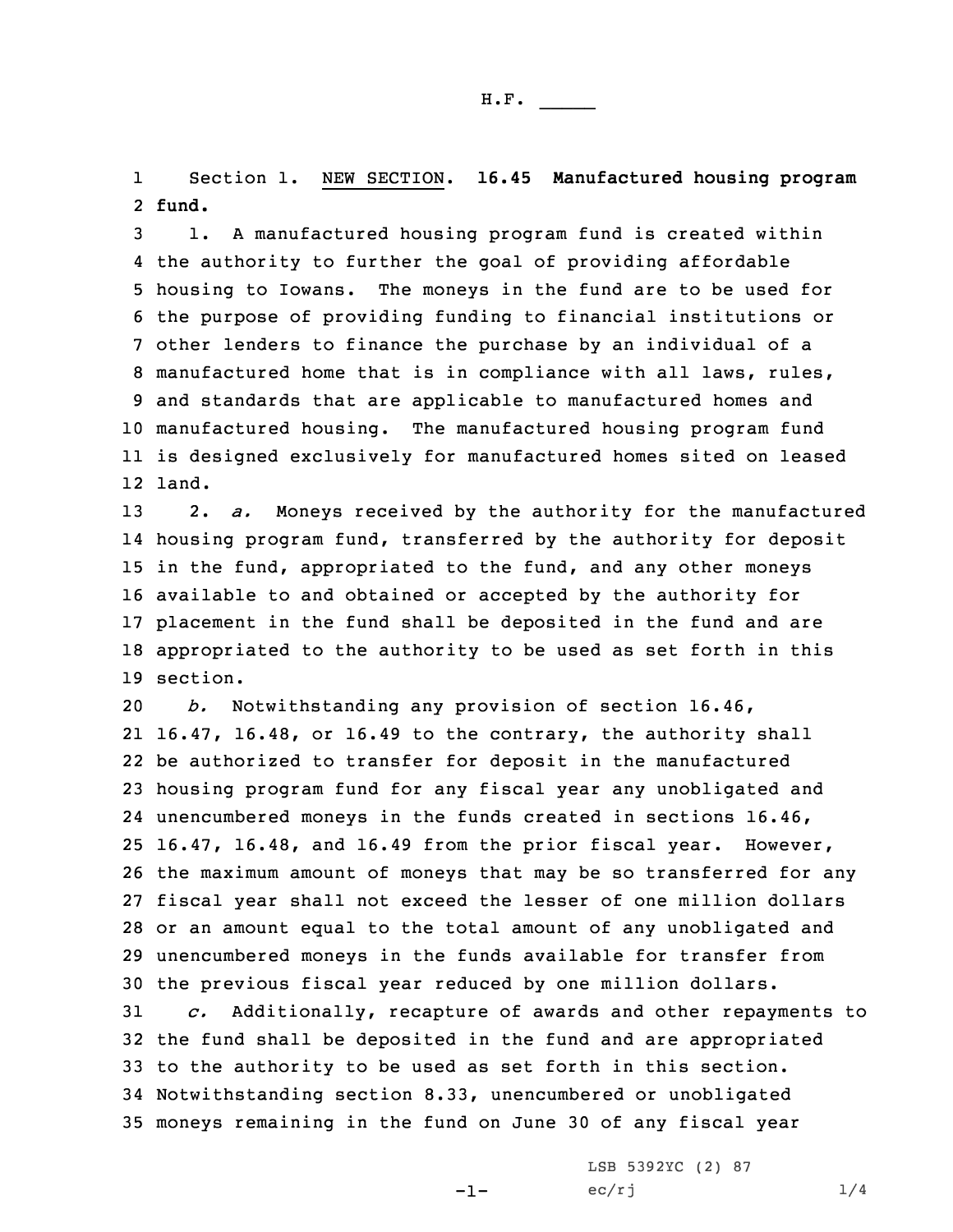1 Section 1. NEW SECTION. **16.45 Manufactured housing program** 2 **fund.**

 1. <sup>A</sup> manufactured housing program fund is created within the authority to further the goal of providing affordable housing to Iowans. The moneys in the fund are to be used for the purpose of providing funding to financial institutions or other lenders to finance the purchase by an individual of <sup>a</sup> manufactured home that is in compliance with all laws, rules, and standards that are applicable to manufactured homes and manufactured housing. The manufactured housing program fund is designed exclusively for manufactured homes sited on leased 12 land.

 2. *a.* Moneys received by the authority for the manufactured housing program fund, transferred by the authority for deposit 15 in the fund, appropriated to the fund, and any other moneys available to and obtained or accepted by the authority for placement in the fund shall be deposited in the fund and are appropriated to the authority to be used as set forth in this 19 section.

 *b.* Notwithstanding any provision of section 16.46, 16.47, 16.48, or 16.49 to the contrary, the authority shall be authorized to transfer for deposit in the manufactured housing program fund for any fiscal year any unobligated and unencumbered moneys in the funds created in sections 16.46, 16.47, 16.48, and 16.49 from the prior fiscal year. However, the maximum amount of moneys that may be so transferred for any fiscal year shall not exceed the lesser of one million dollars or an amount equal to the total amount of any unobligated and unencumbered moneys in the funds available for transfer from the previous fiscal year reduced by one million dollars. *c.* Additionally, recapture of awards and other repayments to

 the fund shall be deposited in the fund and are appropriated to the authority to be used as set forth in this section. Notwithstanding section 8.33, unencumbered or unobligated moneys remaining in the fund on June 30 of any fiscal year

-1-

LSB 5392YC (2) 87  $ec/rj$  1/4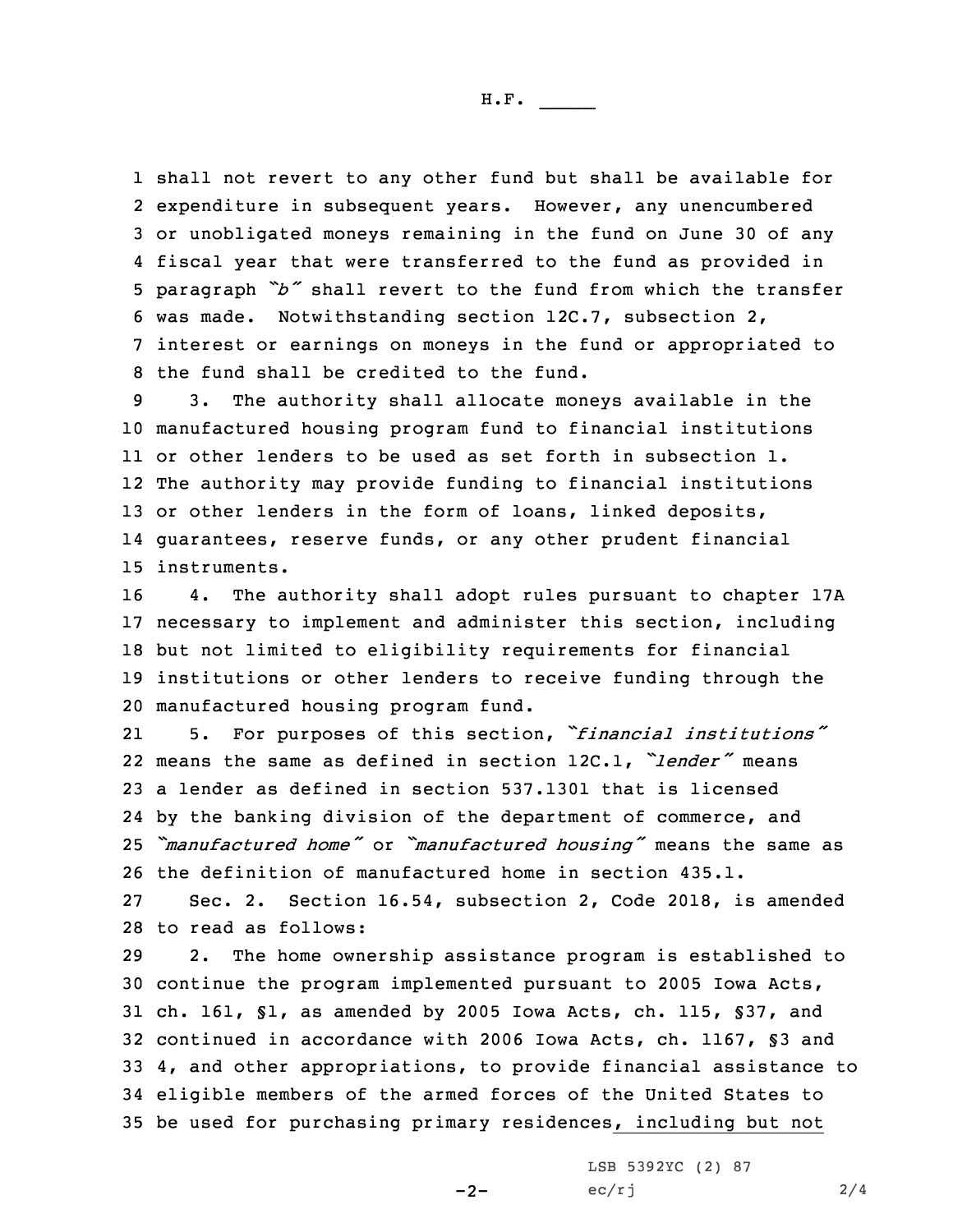H.F. \_\_\_\_\_

 shall not revert to any other fund but shall be available for expenditure in subsequent years. However, any unencumbered or unobligated moneys remaining in the fund on June 30 of any fiscal year that were transferred to the fund as provided in paragraph *"b"* shall revert to the fund from which the transfer was made. Notwithstanding section 12C.7, subsection 2, interest or earnings on moneys in the fund or appropriated to the fund shall be credited to the fund.

 3. The authority shall allocate moneys available in the manufactured housing program fund to financial institutions or other lenders to be used as set forth in subsection 1. The authority may provide funding to financial institutions 13 or other lenders in the form of loans, linked deposits, guarantees, reserve funds, or any other prudent financial instruments.

 4. The authority shall adopt rules pursuant to chapter 17A necessary to implement and administer this section, including but not limited to eligibility requirements for financial institutions or other lenders to receive funding through the manufactured housing program fund.

21 5. For purposes of this section, *"financial institutions"* 22 means the same as defined in section 12C.1, *"lender"* means 23 <sup>a</sup> lender as defined in section 537.1301 that is licensed 24 by the banking division of the department of commerce, and <sup>25</sup> *"manufactured home"* or *"manufactured housing"* means the same as 26 the definition of manufactured home in section 435.1.

27 Sec. 2. Section 16.54, subsection 2, Code 2018, is amended 28 to read as follows:

 2. The home ownership assistance program is established to continue the program implemented pursuant to 2005 Iowa Acts, ch. 161, §1, as amended by 2005 Iowa Acts, ch. 115, §37, and continued in accordance with 2006 Iowa Acts, ch. 1167, §3 and 4, and other appropriations, to provide financial assistance to eligible members of the armed forces of the United States to be used for purchasing primary residences, including but not

 $-2-$ 

LSB 5392YC (2) 87  $ec/rj$  2/4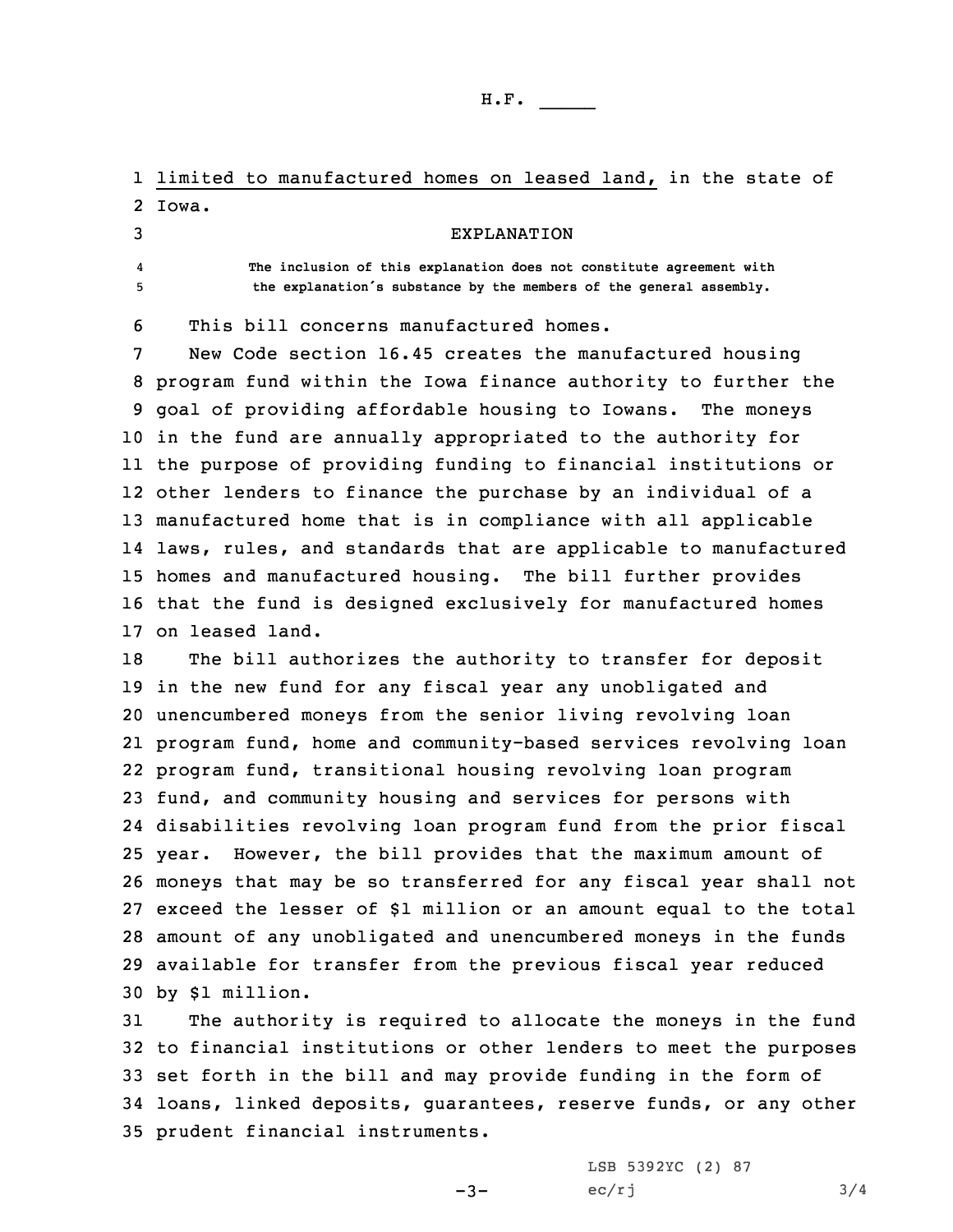H.F. \_\_\_\_\_

1 limited to manufactured homes on leased land, in the state of 2 Iowa.

4

3 EXPLANATION

 **The inclusion of this explanation does not constitute agreement with** <sup>5</sup> **the explanation's substance by the members of the general assembly.**

6 This bill concerns manufactured homes.

 New Code section 16.45 creates the manufactured housing program fund within the Iowa finance authority to further the goal of providing affordable housing to Iowans. The moneys in the fund are annually appropriated to the authority for the purpose of providing funding to financial institutions or other lenders to finance the purchase by an individual of <sup>a</sup> manufactured home that is in compliance with all applicable laws, rules, and standards that are applicable to manufactured homes and manufactured housing. The bill further provides that the fund is designed exclusively for manufactured homes on leased land.

 The bill authorizes the authority to transfer for deposit in the new fund for any fiscal year any unobligated and unencumbered moneys from the senior living revolving loan program fund, home and community-based services revolving loan program fund, transitional housing revolving loan program fund, and community housing and services for persons with disabilities revolving loan program fund from the prior fiscal year. However, the bill provides that the maximum amount of moneys that may be so transferred for any fiscal year shall not exceed the lesser of \$1 million or an amount equal to the total amount of any unobligated and unencumbered moneys in the funds available for transfer from the previous fiscal year reduced by \$1 million.

 The authority is required to allocate the moneys in the fund to financial institutions or other lenders to meet the purposes set forth in the bill and may provide funding in the form of loans, linked deposits, guarantees, reserve funds, or any other prudent financial instruments.

-3-

LSB 5392YC (2) 87  $ec/rj$  3/4